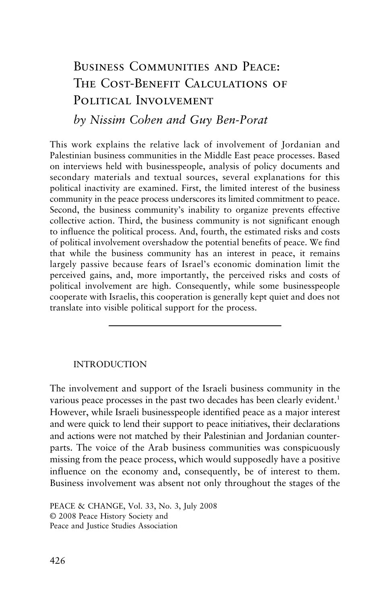# Business Communities and Peace: The Cost-Benefit Calculations of POLITICAL INVOLVEMENT

# *by Nissim Cohen and Guy Ben-Porat*

This work explains the relative lack of involvement of Jordanian and Palestinian business communities in the Middle East peace processes. Based on interviews held with businesspeople, analysis of policy documents and secondary materials and textual sources, several explanations for this political inactivity are examined. First, the limited interest of the business community in the peace process underscores its limited commitment to peace. Second, the business community's inability to organize prevents effective collective action. Third, the business community is not significant enough to influence the political process. And, fourth, the estimated risks and costs of political involvement overshadow the potential benefits of peace. We find that while the business community has an interest in peace, it remains largely passive because fears of Israel's economic domination limit the perceived gains, and, more importantly, the perceived risks and costs of political involvement are high. Consequently, while some businesspeople cooperate with Israelis, this cooperation is generally kept quiet and does not translate into visible political support for the process.

#### INTRODUCTION

The involvement and support of the Israeli business community in the various peace processes in the past two decades has been clearly evident.<sup>1</sup> However, while Israeli businesspeople identified peace as a major interest and were quick to lend their support to peace initiatives, their declarations and actions were not matched by their Palestinian and Jordanian counterparts. The voice of the Arab business communities was conspicuously missing from the peace process, which would supposedly have a positive influence on the economy and, consequently, be of interest to them. Business involvement was absent not only throughout the stages of the

PEACE & CHANGE, Vol. 33, No. 3, July 2008 © 2008 Peace History Society and Peace and Justice Studies Association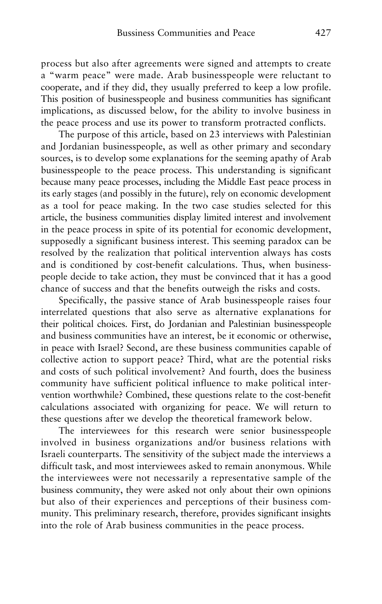process but also after agreements were signed and attempts to create a "warm peace" were made. Arab businesspeople were reluctant to cooperate, and if they did, they usually preferred to keep a low profile. This position of businesspeople and business communities has significant implications, as discussed below, for the ability to involve business in the peace process and use its power to transform protracted conflicts.

The purpose of this article, based on 23 interviews with Palestinian and Jordanian businesspeople, as well as other primary and secondary sources, is to develop some explanations for the seeming apathy of Arab businesspeople to the peace process. This understanding is significant because many peace processes, including the Middle East peace process in its early stages (and possibly in the future), rely on economic development as a tool for peace making. In the two case studies selected for this article, the business communities display limited interest and involvement in the peace process in spite of its potential for economic development, supposedly a significant business interest. This seeming paradox can be resolved by the realization that political intervention always has costs and is conditioned by cost-benefit calculations. Thus, when businesspeople decide to take action, they must be convinced that it has a good chance of success and that the benefits outweigh the risks and costs.

Specifically, the passive stance of Arab businesspeople raises four interrelated questions that also serve as alternative explanations for their political choices. First, do Jordanian and Palestinian businesspeople and business communities have an interest, be it economic or otherwise, in peace with Israel? Second, are these business communities capable of collective action to support peace? Third, what are the potential risks and costs of such political involvement? And fourth, does the business community have sufficient political influence to make political intervention worthwhile? Combined, these questions relate to the cost-benefit calculations associated with organizing for peace. We will return to these questions after we develop the theoretical framework below.

The interviewees for this research were senior businesspeople involved in business organizations and/or business relations with Israeli counterparts. The sensitivity of the subject made the interviews a difficult task, and most interviewees asked to remain anonymous. While the interviewees were not necessarily a representative sample of the business community, they were asked not only about their own opinions but also of their experiences and perceptions of their business community. This preliminary research, therefore, provides significant insights into the role of Arab business communities in the peace process.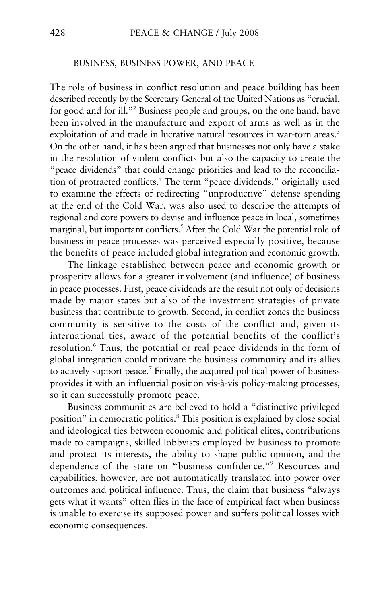#### BUSINESS, BUSINESS POWER, AND PEACE

The role of business in conflict resolution and peace building has been described recently by the Secretary General of the United Nations as "crucial, for good and for ill."2 Business people and groups, on the one hand, have been involved in the manufacture and export of arms as well as in the exploitation of and trade in lucrative natural resources in war-torn areas.<sup>3</sup> On the other hand, it has been argued that businesses not only have a stake in the resolution of violent conflicts but also the capacity to create the "peace dividends" that could change priorities and lead to the reconciliation of protracted conflicts.4 The term "peace dividends," originally used to examine the effects of redirecting "unproductive" defense spending at the end of the Cold War, was also used to describe the attempts of regional and core powers to devise and influence peace in local, sometimes marginal, but important conflicts.5 After the Cold War the potential role of business in peace processes was perceived especially positive, because the benefits of peace included global integration and economic growth.

The linkage established between peace and economic growth or prosperity allows for a greater involvement (and influence) of business in peace processes. First, peace dividends are the result not only of decisions made by major states but also of the investment strategies of private business that contribute to growth. Second, in conflict zones the business community is sensitive to the costs of the conflict and, given its international ties, aware of the potential benefits of the conflict's resolution.<sup>6</sup> Thus, the potential or real peace dividends in the form of global integration could motivate the business community and its allies to actively support peace.<sup>7</sup> Finally, the acquired political power of business provides it with an influential position vis-à-vis policy-making processes, so it can successfully promote peace.

Business communities are believed to hold a "distinctive privileged position" in democratic politics.<sup>8</sup> This position is explained by close social and ideological ties between economic and political elites, contributions made to campaigns, skilled lobbyists employed by business to promote and protect its interests, the ability to shape public opinion, and the dependence of the state on "business confidence."9 Resources and capabilities, however, are not automatically translated into power over outcomes and political influence. Thus, the claim that business "always gets what it wants" often flies in the face of empirical fact when business is unable to exercise its supposed power and suffers political losses with economic consequences.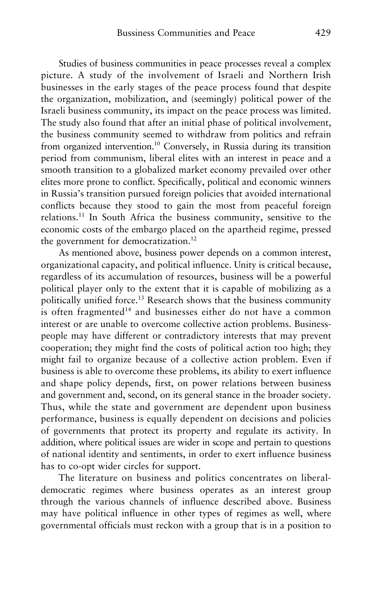Studies of business communities in peace processes reveal a complex picture. A study of the involvement of Israeli and Northern Irish businesses in the early stages of the peace process found that despite the organization, mobilization, and (seemingly) political power of the Israeli business community, its impact on the peace process was limited. The study also found that after an initial phase of political involvement, the business community seemed to withdraw from politics and refrain from organized intervention.10 Conversely, in Russia during its transition period from communism, liberal elites with an interest in peace and a smooth transition to a globalized market economy prevailed over other elites more prone to conflict. Specifically, political and economic winners in Russia's transition pursued foreign policies that avoided international conflicts because they stood to gain the most from peaceful foreign relations.11 In South Africa the business community, sensitive to the economic costs of the embargo placed on the apartheid regime, pressed the government for democratization.<sup>12</sup>

As mentioned above, business power depends on a common interest, organizational capacity, and political influence. Unity is critical because, regardless of its accumulation of resources, business will be a powerful political player only to the extent that it is capable of mobilizing as a politically unified force.<sup>13</sup> Research shows that the business community is often fragmented $14$  and businesses either do not have a common interest or are unable to overcome collective action problems. Businesspeople may have different or contradictory interests that may prevent cooperation; they might find the costs of political action too high; they might fail to organize because of a collective action problem. Even if business is able to overcome these problems, its ability to exert influence and shape policy depends, first, on power relations between business and government and, second, on its general stance in the broader society. Thus, while the state and government are dependent upon business performance, business is equally dependent on decisions and policies of governments that protect its property and regulate its activity. In addition, where political issues are wider in scope and pertain to questions of national identity and sentiments, in order to exert influence business has to co-opt wider circles for support.

The literature on business and politics concentrates on liberaldemocratic regimes where business operates as an interest group through the various channels of influence described above. Business may have political influence in other types of regimes as well, where governmental officials must reckon with a group that is in a position to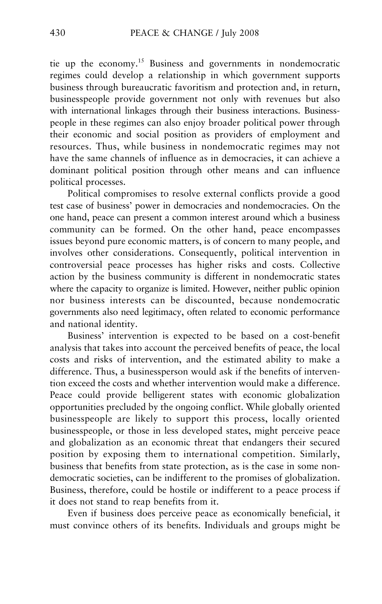tie up the economy.15 Business and governments in nondemocratic regimes could develop a relationship in which government supports business through bureaucratic favoritism and protection and, in return, businesspeople provide government not only with revenues but also with international linkages through their business interactions. Businesspeople in these regimes can also enjoy broader political power through their economic and social position as providers of employment and resources. Thus, while business in nondemocratic regimes may not have the same channels of influence as in democracies, it can achieve a dominant political position through other means and can influence political processes.

Political compromises to resolve external conflicts provide a good test case of business' power in democracies and nondemocracies. On the one hand, peace can present a common interest around which a business community can be formed. On the other hand, peace encompasses issues beyond pure economic matters, is of concern to many people, and involves other considerations. Consequently, political intervention in controversial peace processes has higher risks and costs. Collective action by the business community is different in nondemocratic states where the capacity to organize is limited. However, neither public opinion nor business interests can be discounted, because nondemocratic governments also need legitimacy, often related to economic performance and national identity.

Business' intervention is expected to be based on a cost-benefit analysis that takes into account the perceived benefits of peace, the local costs and risks of intervention, and the estimated ability to make a difference. Thus, a businessperson would ask if the benefits of intervention exceed the costs and whether intervention would make a difference. Peace could provide belligerent states with economic globalization opportunities precluded by the ongoing conflict. While globally oriented businesspeople are likely to support this process, locally oriented businesspeople, or those in less developed states, might perceive peace and globalization as an economic threat that endangers their secured position by exposing them to international competition. Similarly, business that benefits from state protection, as is the case in some nondemocratic societies, can be indifferent to the promises of globalization. Business, therefore, could be hostile or indifferent to a peace process if it does not stand to reap benefits from it.

Even if business does perceive peace as economically beneficial, it must convince others of its benefits. Individuals and groups might be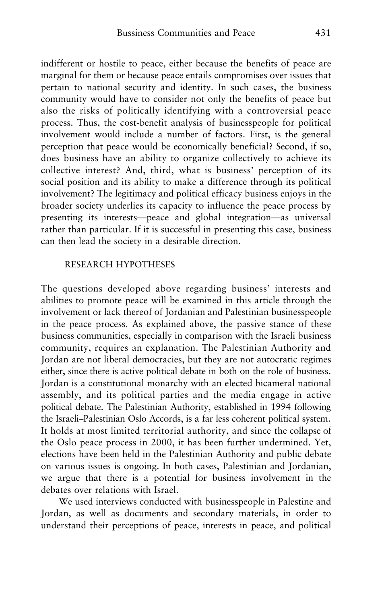indifferent or hostile to peace, either because the benefits of peace are marginal for them or because peace entails compromises over issues that pertain to national security and identity. In such cases, the business community would have to consider not only the benefits of peace but also the risks of politically identifying with a controversial peace process. Thus, the cost-benefit analysis of businesspeople for political involvement would include a number of factors. First, is the general perception that peace would be economically beneficial? Second, if so, does business have an ability to organize collectively to achieve its collective interest? And, third, what is business' perception of its social position and its ability to make a difference through its political involvement? The legitimacy and political efficacy business enjoys in the broader society underlies its capacity to influence the peace process by presenting its interests—peace and global integration—as universal rather than particular. If it is successful in presenting this case, business can then lead the society in a desirable direction.

### RESEARCH HYPOTHESES

The questions developed above regarding business' interests and abilities to promote peace will be examined in this article through the involvement or lack thereof of Jordanian and Palestinian businesspeople in the peace process. As explained above, the passive stance of these business communities, especially in comparison with the Israeli business community, requires an explanation. The Palestinian Authority and Jordan are not liberal democracies, but they are not autocratic regimes either, since there is active political debate in both on the role of business. Jordan is a constitutional monarchy with an elected bicameral national assembly, and its political parties and the media engage in active political debate. The Palestinian Authority, established in 1994 following the Israeli–Palestinian Oslo Accords, is a far less coherent political system. It holds at most limited territorial authority, and since the collapse of the Oslo peace process in 2000, it has been further undermined. Yet, elections have been held in the Palestinian Authority and public debate on various issues is ongoing. In both cases, Palestinian and Jordanian, we argue that there is a potential for business involvement in the debates over relations with Israel.

We used interviews conducted with businesspeople in Palestine and Jordan, as well as documents and secondary materials, in order to understand their perceptions of peace, interests in peace, and political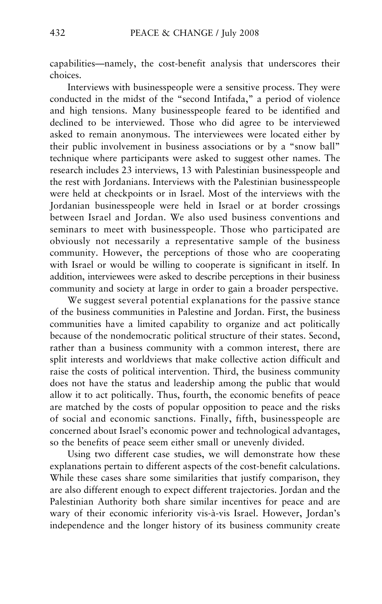capabilities—namely, the cost-benefit analysis that underscores their choices.

Interviews with businesspeople were a sensitive process. They were conducted in the midst of the "second Intifada," a period of violence and high tensions. Many businesspeople feared to be identified and declined to be interviewed. Those who did agree to be interviewed asked to remain anonymous. The interviewees were located either by their public involvement in business associations or by a "snow ball" technique where participants were asked to suggest other names. The research includes 23 interviews, 13 with Palestinian businesspeople and the rest with Jordanians. Interviews with the Palestinian businesspeople were held at checkpoints or in Israel. Most of the interviews with the Jordanian businesspeople were held in Israel or at border crossings between Israel and Jordan. We also used business conventions and seminars to meet with businesspeople. Those who participated are obviously not necessarily a representative sample of the business community. However, the perceptions of those who are cooperating with Israel or would be willing to cooperate is significant in itself. In addition, interviewees were asked to describe perceptions in their business community and society at large in order to gain a broader perspective.

We suggest several potential explanations for the passive stance of the business communities in Palestine and Jordan. First, the business communities have a limited capability to organize and act politically because of the nondemocratic political structure of their states. Second, rather than a business community with a common interest, there are split interests and worldviews that make collective action difficult and raise the costs of political intervention. Third, the business community does not have the status and leadership among the public that would allow it to act politically. Thus, fourth, the economic benefits of peace are matched by the costs of popular opposition to peace and the risks of social and economic sanctions. Finally, fifth, businesspeople are concerned about Israel's economic power and technological advantages, so the benefits of peace seem either small or unevenly divided.

Using two different case studies, we will demonstrate how these explanations pertain to different aspects of the cost-benefit calculations. While these cases share some similarities that justify comparison, they are also different enough to expect different trajectories. Jordan and the Palestinian Authority both share similar incentives for peace and are wary of their economic inferiority vis-à-vis Israel. However, Jordan's independence and the longer history of its business community create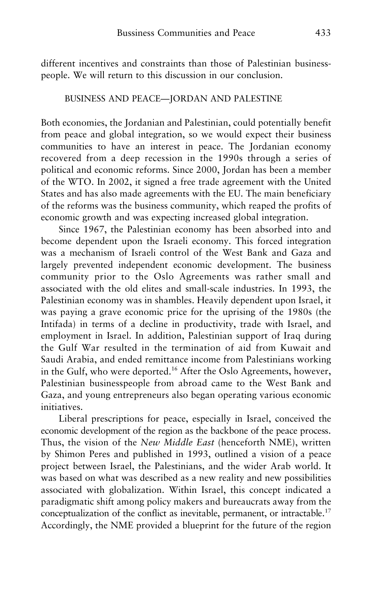different incentives and constraints than those of Palestinian businesspeople. We will return to this discussion in our conclusion.

## BUSINESS AND PEACE—JORDAN AND PALESTINE

Both economies, the Jordanian and Palestinian, could potentially benefit from peace and global integration, so we would expect their business communities to have an interest in peace. The Jordanian economy recovered from a deep recession in the 1990s through a series of political and economic reforms. Since 2000, Jordan has been a member of the WTO. In 2002, it signed a free trade agreement with the United States and has also made agreements with the EU. The main beneficiary of the reforms was the business community, which reaped the profits of economic growth and was expecting increased global integration.

Since 1967, the Palestinian economy has been absorbed into and become dependent upon the Israeli economy. This forced integration was a mechanism of Israeli control of the West Bank and Gaza and largely prevented independent economic development. The business community prior to the Oslo Agreements was rather small and associated with the old elites and small-scale industries. In 1993, the Palestinian economy was in shambles. Heavily dependent upon Israel, it was paying a grave economic price for the uprising of the 1980s (the Intifada) in terms of a decline in productivity, trade with Israel, and employment in Israel. In addition, Palestinian support of Iraq during the Gulf War resulted in the termination of aid from Kuwait and Saudi Arabia, and ended remittance income from Palestinians working in the Gulf, who were deported.<sup>16</sup> After the Oslo Agreements, however, Palestinian businesspeople from abroad came to the West Bank and Gaza, and young entrepreneurs also began operating various economic initiatives.

Liberal prescriptions for peace, especially in Israel, conceived the economic development of the region as the backbone of the peace process. Thus, the vision of the *New Middle East* (henceforth NME), written by Shimon Peres and published in 1993, outlined a vision of a peace project between Israel, the Palestinians, and the wider Arab world. It was based on what was described as a new reality and new possibilities associated with globalization. Within Israel, this concept indicated a paradigmatic shift among policy makers and bureaucrats away from the conceptualization of the conflict as inevitable, permanent, or intractable.17 Accordingly, the NME provided a blueprint for the future of the region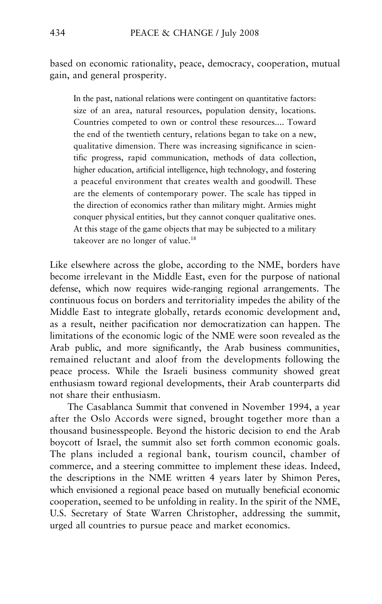based on economic rationality, peace, democracy, cooperation, mutual gain, and general prosperity.

In the past, national relations were contingent on quantitative factors: size of an area, natural resources, population density, locations. Countries competed to own or control these resources.... Toward the end of the twentieth century, relations began to take on a new, qualitative dimension. There was increasing significance in scientific progress, rapid communication, methods of data collection, higher education, artificial intelligence, high technology, and fostering a peaceful environment that creates wealth and goodwill. These are the elements of contemporary power. The scale has tipped in the direction of economics rather than military might. Armies might conquer physical entities, but they cannot conquer qualitative ones. At this stage of the game objects that may be subjected to a military takeover are no longer of value.<sup>18</sup>

Like elsewhere across the globe, according to the NME, borders have become irrelevant in the Middle East, even for the purpose of national defense, which now requires wide-ranging regional arrangements. The continuous focus on borders and territoriality impedes the ability of the Middle East to integrate globally, retards economic development and, as a result, neither pacification nor democratization can happen. The limitations of the economic logic of the NME were soon revealed as the Arab public, and more significantly, the Arab business communities, remained reluctant and aloof from the developments following the peace process. While the Israeli business community showed great enthusiasm toward regional developments, their Arab counterparts did not share their enthusiasm.

The Casablanca Summit that convened in November 1994, a year after the Oslo Accords were signed, brought together more than a thousand businesspeople. Beyond the historic decision to end the Arab boycott of Israel, the summit also set forth common economic goals. The plans included a regional bank, tourism council, chamber of commerce, and a steering committee to implement these ideas. Indeed, the descriptions in the NME written 4 years later by Shimon Peres, which envisioned a regional peace based on mutually beneficial economic cooperation, seemed to be unfolding in reality. In the spirit of the NME, U.S. Secretary of State Warren Christopher, addressing the summit, urged all countries to pursue peace and market economics.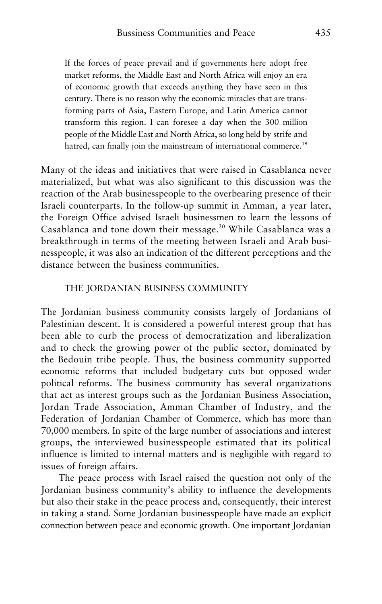If the forces of peace prevail and if governments here adopt free market reforms, the Middle East and North Africa will enjoy an era of economic growth that exceeds anything they have seen in this century. There is no reason why the economic miracles that are transforming parts of Asia, Eastern Europe, and Latin America cannot transform this region. I can foresee a day when the 300 million people of the Middle East and North Africa, so long held by strife and hatred, can finally join the mainstream of international commerce.<sup>19</sup>

Many of the ideas and initiatives that were raised in Casablanca never materialized, but what was also significant to this discussion was the reaction of the Arab businesspeople to the overbearing presence of their Israeli counterparts. In the follow-up summit in Amman, a year later, the Foreign Office advised Israeli businessmen to learn the lessons of Casablanca and tone down their message.20 While Casablanca was a breakthrough in terms of the meeting between Israeli and Arab businesspeople, it was also an indication of the different perceptions and the distance between the business communities.

#### THE JORDANIAN BUSINESS COMMUNITY

The Jordanian business community consists largely of Jordanians of Palestinian descent. It is considered a powerful interest group that has been able to curb the process of democratization and liberalization and to check the growing power of the public sector, dominated by the Bedouin tribe people. Thus, the business community supported economic reforms that included budgetary cuts but opposed wider political reforms. The business community has several organizations that act as interest groups such as the Jordanian Business Association, Jordan Trade Association, Amman Chamber of Industry, and the Federation of Jordanian Chamber of Commerce, which has more than 70,000 members. In spite of the large number of associations and interest groups, the interviewed businesspeople estimated that its political influence is limited to internal matters and is negligible with regard to issues of foreign affairs.

The peace process with Israel raised the question not only of the Jordanian business community's ability to influence the developments but also their stake in the peace process and, consequently, their interest in taking a stand. Some Jordanian businesspeople have made an explicit connection between peace and economic growth. One important Jordanian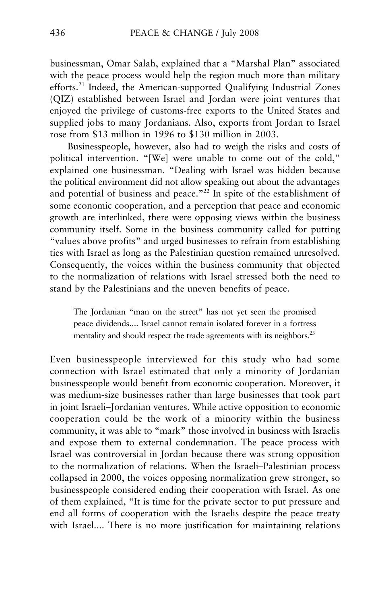businessman, Omar Salah, explained that a "Marshal Plan" associated with the peace process would help the region much more than military efforts.21 Indeed, the American-supported Qualifying Industrial Zones (QIZ) established between Israel and Jordan were joint ventures that enjoyed the privilege of customs-free exports to the United States and supplied jobs to many Jordanians. Also, exports from Jordan to Israel rose from \$13 million in 1996 to \$130 million in 2003.

Businesspeople, however, also had to weigh the risks and costs of political intervention. "[We] were unable to come out of the cold," explained one businessman. "Dealing with Israel was hidden because the political environment did not allow speaking out about the advantages and potential of business and peace."<sup>22</sup> In spite of the establishment of some economic cooperation, and a perception that peace and economic growth are interlinked, there were opposing views within the business community itself. Some in the business community called for putting "values above profits" and urged businesses to refrain from establishing ties with Israel as long as the Palestinian question remained unresolved. Consequently, the voices within the business community that objected to the normalization of relations with Israel stressed both the need to stand by the Palestinians and the uneven benefits of peace.

The Jordanian "man on the street" has not yet seen the promised peace dividends.... Israel cannot remain isolated forever in a fortress mentality and should respect the trade agreements with its neighbors.<sup>23</sup>

Even businesspeople interviewed for this study who had some connection with Israel estimated that only a minority of Jordanian businesspeople would benefit from economic cooperation. Moreover, it was medium-size businesses rather than large businesses that took part in joint Israeli–Jordanian ventures. While active opposition to economic cooperation could be the work of a minority within the business community, it was able to "mark" those involved in business with Israelis and expose them to external condemnation. The peace process with Israel was controversial in Jordan because there was strong opposition to the normalization of relations. When the Israeli–Palestinian process collapsed in 2000, the voices opposing normalization grew stronger, so businesspeople considered ending their cooperation with Israel. As one of them explained, "It is time for the private sector to put pressure and end all forms of cooperation with the Israelis despite the peace treaty with Israel.... There is no more justification for maintaining relations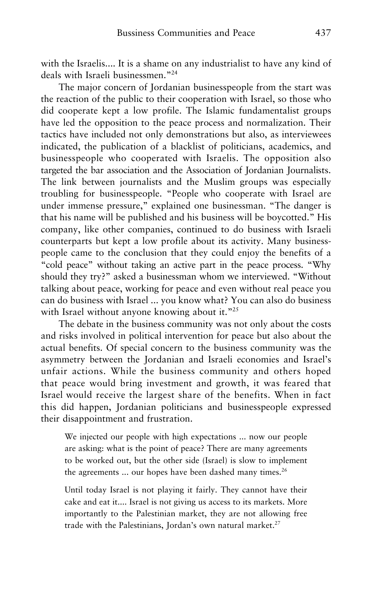with the Israelis.... It is a shame on any industrialist to have any kind of deals with Israeli businessmen."<sup>24</sup>

The major concern of Jordanian businesspeople from the start was the reaction of the public to their cooperation with Israel, so those who did cooperate kept a low profile. The Islamic fundamentalist groups have led the opposition to the peace process and normalization. Their tactics have included not only demonstrations but also, as interviewees indicated, the publication of a blacklist of politicians, academics, and businesspeople who cooperated with Israelis. The opposition also targeted the bar association and the Association of Jordanian Journalists. The link between journalists and the Muslim groups was especially troubling for businesspeople. "People who cooperate with Israel are under immense pressure," explained one businessman. "The danger is that his name will be published and his business will be boycotted." His company, like other companies, continued to do business with Israeli counterparts but kept a low profile about its activity. Many businesspeople came to the conclusion that they could enjoy the benefits of a "cold peace" without taking an active part in the peace process. "Why should they try?" asked a businessman whom we interviewed. "Without talking about peace, working for peace and even without real peace you can do business with Israel ... you know what? You can also do business with Israel without anyone knowing about it."<sup>25</sup>

The debate in the business community was not only about the costs and risks involved in political intervention for peace but also about the actual benefits. Of special concern to the business community was the asymmetry between the Jordanian and Israeli economies and Israel's unfair actions. While the business community and others hoped that peace would bring investment and growth, it was feared that Israel would receive the largest share of the benefits. When in fact this did happen, Jordanian politicians and businesspeople expressed their disappointment and frustration.

We injected our people with high expectations ... now our people are asking: what is the point of peace? There are many agreements to be worked out, but the other side (Israel) is slow to implement the agreements  $\dots$  our hopes have been dashed many times.<sup>26</sup>

Until today Israel is not playing it fairly. They cannot have their cake and eat it.... Israel is not giving us access to its markets. More importantly to the Palestinian market, they are not allowing free trade with the Palestinians, Jordan's own natural market.<sup>27</sup>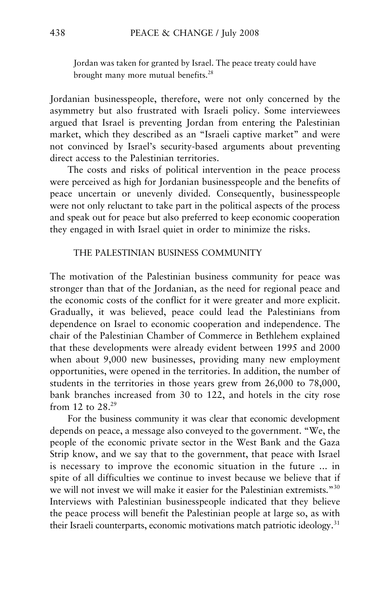Jordan was taken for granted by Israel. The peace treaty could have brought many more mutual benefits.<sup>28</sup>

Jordanian businesspeople, therefore, were not only concerned by the asymmetry but also frustrated with Israeli policy. Some interviewees argued that Israel is preventing Jordan from entering the Palestinian market, which they described as an "Israeli captive market" and were not convinced by Israel's security-based arguments about preventing direct access to the Palestinian territories.

The costs and risks of political intervention in the peace process were perceived as high for Jordanian businesspeople and the benefits of peace uncertain or unevenly divided. Consequently, businesspeople were not only reluctant to take part in the political aspects of the process and speak out for peace but also preferred to keep economic cooperation they engaged in with Israel quiet in order to minimize the risks.

### THE PALESTINIAN BUSINESS COMMUNITY

The motivation of the Palestinian business community for peace was stronger than that of the Jordanian, as the need for regional peace and the economic costs of the conflict for it were greater and more explicit. Gradually, it was believed, peace could lead the Palestinians from dependence on Israel to economic cooperation and independence. The chair of the Palestinian Chamber of Commerce in Bethlehem explained that these developments were already evident between 1995 and 2000 when about 9,000 new businesses, providing many new employment opportunities, were opened in the territories. In addition, the number of students in the territories in those years grew from 26,000 to 78,000, bank branches increased from 30 to 122, and hotels in the city rose from 12 to 28.29

For the business community it was clear that economic development depends on peace, a message also conveyed to the government. "We, the people of the economic private sector in the West Bank and the Gaza Strip know, and we say that to the government, that peace with Israel is necessary to improve the economic situation in the future ... in spite of all difficulties we continue to invest because we believe that if we will not invest we will make it easier for the Palestinian extremists."30 Interviews with Palestinian businesspeople indicated that they believe the peace process will benefit the Palestinian people at large so, as with their Israeli counterparts, economic motivations match patriotic ideology.<sup>31</sup>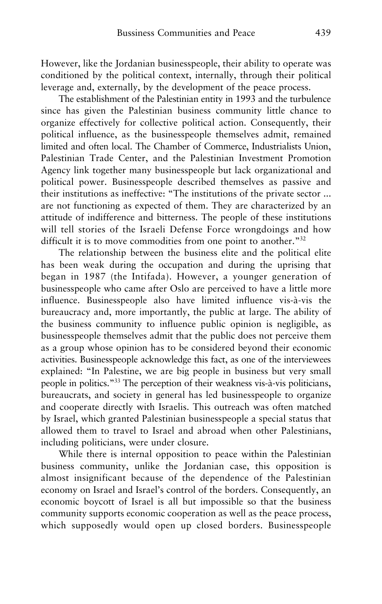However, like the Jordanian businesspeople, their ability to operate was conditioned by the political context, internally, through their political leverage and, externally, by the development of the peace process.

The establishment of the Palestinian entity in 1993 and the turbulence since has given the Palestinian business community little chance to organize effectively for collective political action. Consequently, their political influence, as the businesspeople themselves admit, remained limited and often local. The Chamber of Commerce, Industrialists Union, Palestinian Trade Center, and the Palestinian Investment Promotion Agency link together many businesspeople but lack organizational and political power. Businesspeople described themselves as passive and their institutions as ineffective: "The institutions of the private sector ... are not functioning as expected of them. They are characterized by an attitude of indifference and bitterness. The people of these institutions will tell stories of the Israeli Defense Force wrongdoings and how difficult it is to move commodities from one point to another."<sup>32</sup>

The relationship between the business elite and the political elite has been weak during the occupation and during the uprising that began in 1987 (the Intifada). However, a younger generation of businesspeople who came after Oslo are perceived to have a little more influence. Businesspeople also have limited influence vis-à-vis the bureaucracy and, more importantly, the public at large. The ability of the business community to influence public opinion is negligible, as businesspeople themselves admit that the public does not perceive them as a group whose opinion has to be considered beyond their economic activities. Businesspeople acknowledge this fact, as one of the interviewees explained: "In Palestine, we are big people in business but very small people in politics."33 The perception of their weakness vis-à-vis politicians, bureaucrats, and society in general has led businesspeople to organize and cooperate directly with Israelis. This outreach was often matched by Israel, which granted Palestinian businesspeople a special status that allowed them to travel to Israel and abroad when other Palestinians, including politicians, were under closure.

While there is internal opposition to peace within the Palestinian business community, unlike the Jordanian case, this opposition is almost insignificant because of the dependence of the Palestinian economy on Israel and Israel's control of the borders. Consequently, an economic boycott of Israel is all but impossible so that the business community supports economic cooperation as well as the peace process, which supposedly would open up closed borders. Businesspeople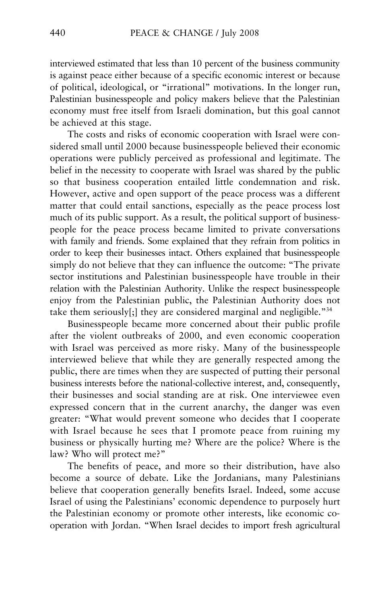interviewed estimated that less than 10 percent of the business community is against peace either because of a specific economic interest or because of political, ideological, or "irrational" motivations. In the longer run, Palestinian businesspeople and policy makers believe that the Palestinian economy must free itself from Israeli domination, but this goal cannot be achieved at this stage.

The costs and risks of economic cooperation with Israel were considered small until 2000 because businesspeople believed their economic operations were publicly perceived as professional and legitimate. The belief in the necessity to cooperate with Israel was shared by the public so that business cooperation entailed little condemnation and risk. However, active and open support of the peace process was a different matter that could entail sanctions, especially as the peace process lost much of its public support. As a result, the political support of businesspeople for the peace process became limited to private conversations with family and friends. Some explained that they refrain from politics in order to keep their businesses intact. Others explained that businesspeople simply do not believe that they can influence the outcome: "The private sector institutions and Palestinian businesspeople have trouble in their relation with the Palestinian Authority. Unlike the respect businesspeople enjoy from the Palestinian public, the Palestinian Authority does not take them seriously[;] they are considered marginal and negligible."34

Businesspeople became more concerned about their public profile after the violent outbreaks of 2000, and even economic cooperation with Israel was perceived as more risky. Many of the businesspeople interviewed believe that while they are generally respected among the public, there are times when they are suspected of putting their personal business interests before the national-collective interest, and, consequently, their businesses and social standing are at risk. One interviewee even expressed concern that in the current anarchy, the danger was even greater: "What would prevent someone who decides that I cooperate with Israel because he sees that I promote peace from ruining my business or physically hurting me? Where are the police? Where is the law? Who will protect me?"

The benefits of peace, and more so their distribution, have also become a source of debate. Like the Jordanians, many Palestinians believe that cooperation generally benefits Israel. Indeed, some accuse Israel of using the Palestinians' economic dependence to purposely hurt the Palestinian economy or promote other interests, like economic cooperation with Jordan. "When Israel decides to import fresh agricultural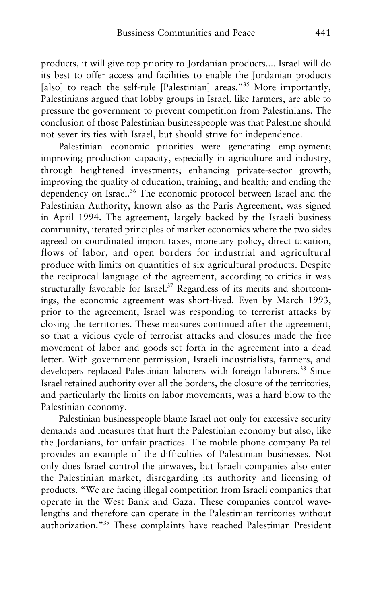products, it will give top priority to Jordanian products.... Israel will do its best to offer access and facilities to enable the Jordanian products [also] to reach the self-rule [Palestinian] areas."<sup>35</sup> More importantly, Palestinians argued that lobby groups in Israel, like farmers, are able to pressure the government to prevent competition from Palestinians. The conclusion of those Palestinian businesspeople was that Palestine should not sever its ties with Israel, but should strive for independence.

Palestinian economic priorities were generating employment; improving production capacity, especially in agriculture and industry, through heightened investments; enhancing private-sector growth; improving the quality of education, training, and health; and ending the dependency on Israel.36 The economic protocol between Israel and the Palestinian Authority, known also as the Paris Agreement, was signed in April 1994. The agreement, largely backed by the Israeli business community, iterated principles of market economics where the two sides agreed on coordinated import taxes, monetary policy, direct taxation, flows of labor, and open borders for industrial and agricultural produce with limits on quantities of six agricultural products. Despite the reciprocal language of the agreement, according to critics it was structurally favorable for Israel.<sup>37</sup> Regardless of its merits and shortcomings, the economic agreement was short-lived. Even by March 1993, prior to the agreement, Israel was responding to terrorist attacks by closing the territories. These measures continued after the agreement, so that a vicious cycle of terrorist attacks and closures made the free movement of labor and goods set forth in the agreement into a dead letter. With government permission, Israeli industrialists, farmers, and developers replaced Palestinian laborers with foreign laborers.<sup>38</sup> Since Israel retained authority over all the borders, the closure of the territories, and particularly the limits on labor movements, was a hard blow to the Palestinian economy.

Palestinian businesspeople blame Israel not only for excessive security demands and measures that hurt the Palestinian economy but also, like the Jordanians, for unfair practices. The mobile phone company Paltel provides an example of the difficulties of Palestinian businesses. Not only does Israel control the airwaves, but Israeli companies also enter the Palestinian market, disregarding its authority and licensing of products. "We are facing illegal competition from Israeli companies that operate in the West Bank and Gaza. These companies control wavelengths and therefore can operate in the Palestinian territories without authorization."39 These complaints have reached Palestinian President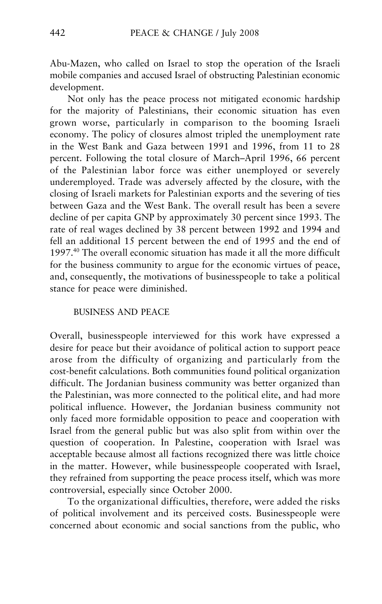Abu-Mazen, who called on Israel to stop the operation of the Israeli mobile companies and accused Israel of obstructing Palestinian economic development.

Not only has the peace process not mitigated economic hardship for the majority of Palestinians, their economic situation has even grown worse, particularly in comparison to the booming Israeli economy. The policy of closures almost tripled the unemployment rate in the West Bank and Gaza between 1991 and 1996, from 11 to 28 percent. Following the total closure of March–April 1996, 66 percent of the Palestinian labor force was either unemployed or severely underemployed. Trade was adversely affected by the closure, with the closing of Israeli markets for Palestinian exports and the severing of ties between Gaza and the West Bank. The overall result has been a severe decline of per capita GNP by approximately 30 percent since 1993. The rate of real wages declined by 38 percent between 1992 and 1994 and fell an additional 15 percent between the end of 1995 and the end of 1997.40 The overall economic situation has made it all the more difficult for the business community to argue for the economic virtues of peace, and, consequently, the motivations of businesspeople to take a political stance for peace were diminished.

#### BUSINESS AND PEACE

Overall, businesspeople interviewed for this work have expressed a desire for peace but their avoidance of political action to support peace arose from the difficulty of organizing and particularly from the cost-benefit calculations. Both communities found political organization difficult. The Jordanian business community was better organized than the Palestinian, was more connected to the political elite, and had more political influence. However, the Jordanian business community not only faced more formidable opposition to peace and cooperation with Israel from the general public but was also split from within over the question of cooperation. In Palestine, cooperation with Israel was acceptable because almost all factions recognized there was little choice in the matter. However, while businesspeople cooperated with Israel, they refrained from supporting the peace process itself, which was more controversial, especially since October 2000.

To the organizational difficulties, therefore, were added the risks of political involvement and its perceived costs. Businesspeople were concerned about economic and social sanctions from the public, who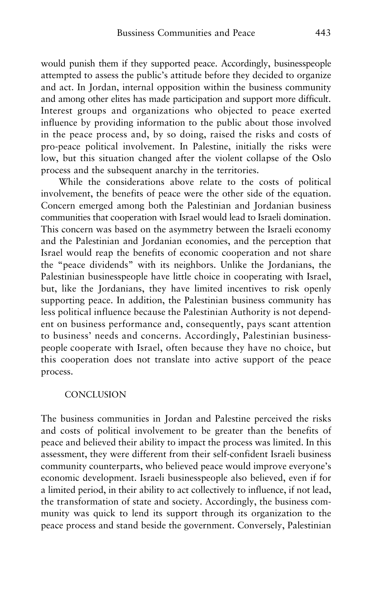would punish them if they supported peace. Accordingly, businesspeople attempted to assess the public's attitude before they decided to organize and act. In Jordan, internal opposition within the business community and among other elites has made participation and support more difficult. Interest groups and organizations who objected to peace exerted influence by providing information to the public about those involved in the peace process and, by so doing, raised the risks and costs of pro-peace political involvement. In Palestine, initially the risks were low, but this situation changed after the violent collapse of the Oslo process and the subsequent anarchy in the territories.

While the considerations above relate to the costs of political involvement, the benefits of peace were the other side of the equation. Concern emerged among both the Palestinian and Jordanian business communities that cooperation with Israel would lead to Israeli domination. This concern was based on the asymmetry between the Israeli economy and the Palestinian and Jordanian economies, and the perception that Israel would reap the benefits of economic cooperation and not share the "peace dividends" with its neighbors. Unlike the Jordanians, the Palestinian businesspeople have little choice in cooperating with Israel, but, like the Jordanians, they have limited incentives to risk openly supporting peace. In addition, the Palestinian business community has less political influence because the Palestinian Authority is not dependent on business performance and, consequently, pays scant attention to business' needs and concerns. Accordingly, Palestinian businesspeople cooperate with Israel, often because they have no choice, but this cooperation does not translate into active support of the peace process.

#### **CONCLUSION**

The business communities in Jordan and Palestine perceived the risks and costs of political involvement to be greater than the benefits of peace and believed their ability to impact the process was limited. In this assessment, they were different from their self-confident Israeli business community counterparts, who believed peace would improve everyone's economic development. Israeli businesspeople also believed, even if for a limited period, in their ability to act collectively to influence, if not lead, the transformation of state and society. Accordingly, the business community was quick to lend its support through its organization to the peace process and stand beside the government. Conversely, Palestinian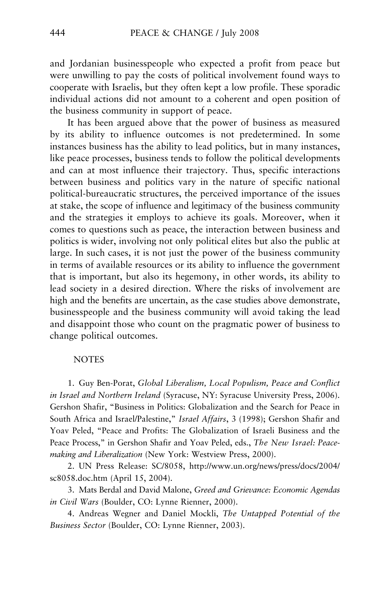and Jordanian businesspeople who expected a profit from peace but were unwilling to pay the costs of political involvement found ways to cooperate with Israelis, but they often kept a low profile. These sporadic individual actions did not amount to a coherent and open position of the business community in support of peace.

It has been argued above that the power of business as measured by its ability to influence outcomes is not predetermined. In some instances business has the ability to lead politics, but in many instances, like peace processes, business tends to follow the political developments and can at most influence their trajectory. Thus, specific interactions between business and politics vary in the nature of specific national political-bureaucratic structures, the perceived importance of the issues at stake, the scope of influence and legitimacy of the business community and the strategies it employs to achieve its goals. Moreover, when it comes to questions such as peace, the interaction between business and politics is wider, involving not only political elites but also the public at large. In such cases, it is not just the power of the business community in terms of available resources or its ability to influence the government that is important, but also its hegemony, in other words, its ability to lead society in a desired direction. Where the risks of involvement are high and the benefits are uncertain, as the case studies above demonstrate, businesspeople and the business community will avoid taking the lead and disappoint those who count on the pragmatic power of business to change political outcomes.

#### NOTES

1. Guy Ben-Porat, *Global Liberalism, Local Populism, Peace and Conflict in Israel and Northern Ireland* (Syracuse, NY: Syracuse University Press, 2006). Gershon Shafir, "Business in Politics: Globalization and the Search for Peace in South Africa and Israel/Palestine," *Israel Affairs*, 3 (1998); Gershon Shafir and Yoav Peled, "Peace and Profits: The Globalization of Israeli Business and the Peace Process," in Gershon Shafir and Yoav Peled, eds., *The New Israel: Peacemaking and Liberalization* (New York: Westview Press, 2000).

[2. UN Press Release: SC/8058, http://www.un.org/news/press/docs/2004/](http://www.un.org/news/press/docs/2004/sc8058.doc.htm) sc8058.doc.htm (April 15, 2004).

3. Mats Berdal and David Malone, *Greed and Grievance: Economic Agendas in Civil Wars* (Boulder, CO: Lynne Rienner, 2000).

4. Andreas Wegner and Daniel Mockli, *The Untapped Potential of the Business Sector* (Boulder, CO: Lynne Rienner, 2003).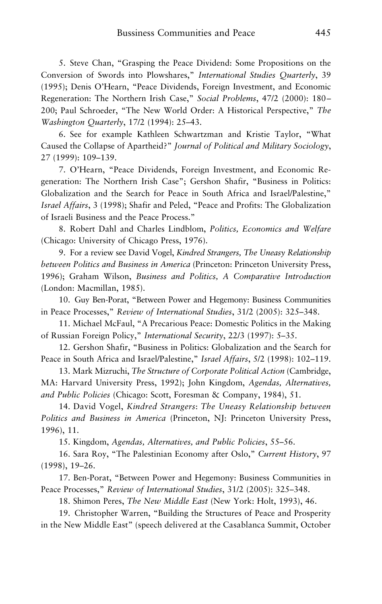5. Steve Chan, "Grasping the Peace Dividend: Some Propositions on the Conversion of Swords into Plowshares," *International Studies Quarterly*, 39 (1995); Denis O'Hearn, "Peace Dividends, Foreign Investment, and Economic Regeneration: The Northern Irish Case," *Social Problems*, 47/2 (2000): 180– 200; Paul Schroeder, "The New World Order: A Historical Perspective," *The Washington Quarterly*, 17/2 (1994): 25–43.

6. See for example Kathleen Schwartzman and Kristie Taylor, "What Caused the Collapse of Apartheid?" *Journal of Political and Military Sociology*, 27 (1999): 109–139.

7. O'Hearn, "Peace Dividends, Foreign Investment, and Economic Regeneration: The Northern Irish Case"; Gershon Shafir, "Business in Politics: Globalization and the Search for Peace in South Africa and Israel/Palestine," *Israel Affairs*, 3 (1998); Shafir and Peled, "Peace and Profits: The Globalization of Israeli Business and the Peace Process."

8. Robert Dahl and Charles Lindblom, *Politics, Economics and Welfare* (Chicago: University of Chicago Press, 1976).

9. For a review see David Vogel, *Kindred Strangers, The Uneasy Relationship between Politics and Business in America* (Princeton: Princeton University Press, 1996); Graham Wilson, *Business and Politics, A Comparative Introduction* (London: Macmillan, 1985).

10. Guy Ben-Porat, "Between Power and Hegemony: Business Communities in Peace Processes," *Review of International Studies*, 31/2 (2005): 325–348.

11. Michael McFaul, "A Precarious Peace: Domestic Politics in the Making of Russian Foreign Policy," *International Security*, 22/3 (1997): 5–35.

12. Gershon Shafir, "Business in Politics: Globalization and the Search for Peace in South Africa and Israel/Palestine," *Israel Affairs*, 5/2 (1998): 102–119.

13. Mark Mizruchi, *The Structure of Corporate Political Action* (Cambridge, MA: Harvard University Press, 1992); John Kingdom, *Agendas, Alternatives, and Public Policies* (Chicago: Scott, Foresman & Company, 1984), 51.

14. David Vogel, *Kindred Strangers*: *The Uneasy Relationship between Politics and Business in America* (Princeton, NJ: Princeton University Press, 1996), 11.

15. Kingdom, *Agendas, Alternatives, and Public Policies*, 55–56.

16. Sara Roy, "The Palestinian Economy after Oslo," *Current History*, 97 (1998), 19–26.

17. Ben-Porat, "Between Power and Hegemony: Business Communities in Peace Processes," *Review of International Studies*, 31/2 (2005): 325–348.

18. Shimon Peres, *The New Middle East* (New York: Holt, 1993), 46.

19. Christopher Warren, "Building the Structures of Peace and Prosperity in the New Middle East" (speech delivered at the Casablanca Summit, October